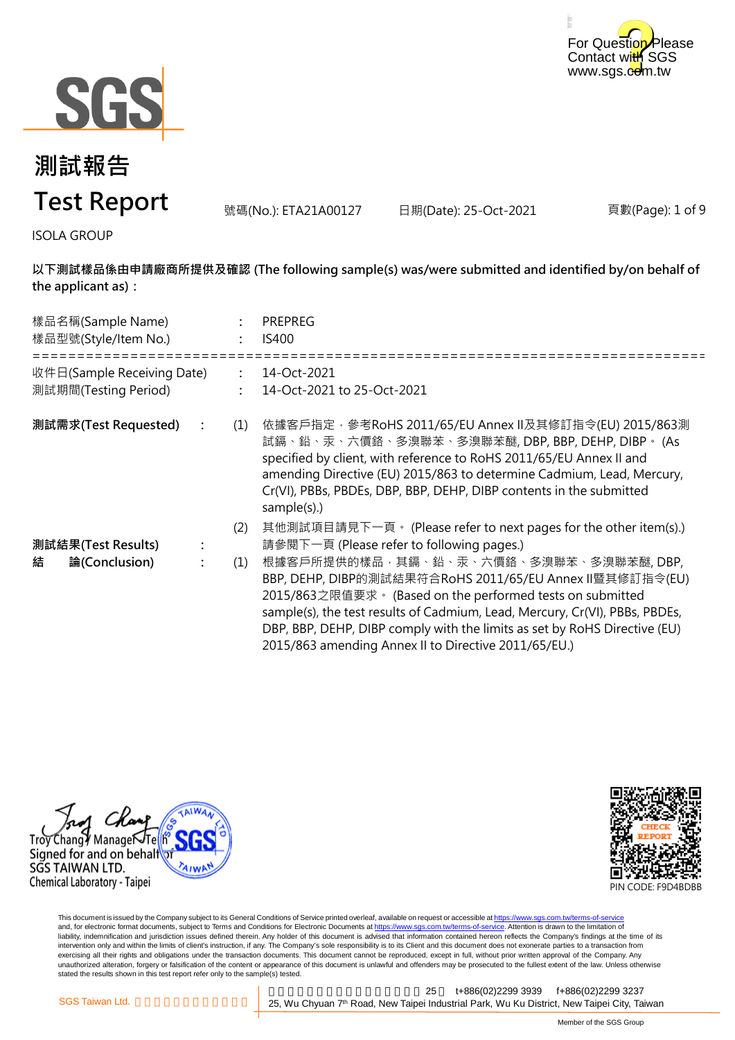



號碼(No.): ETA21A00127 日期(Date): 25-Oct-2021

頁數(Page): 1 of 9

ISOLA GROUP

**以下測試樣品係由申請廠商所提供及確認 (The following sample(s) was/were submitted and identified by/on behalf of the applicant as):**

| 樣品名稱(Sample Name)<br>樣品型號(Style/Item No.)          |                | <b>PREPREG</b><br>IS400                                                                                                                                                                                                                                                                                                                                                           |
|----------------------------------------------------|----------------|-----------------------------------------------------------------------------------------------------------------------------------------------------------------------------------------------------------------------------------------------------------------------------------------------------------------------------------------------------------------------------------|
| 收件日(Sample Receiving Date)<br>測試期間(Testing Period) | $\ddot{\cdot}$ | 14-Oct-2021<br>14-Oct-2021 to 25-Oct-2021                                                                                                                                                                                                                                                                                                                                         |
| 測試需求(Test Requested)                               | (1)            | 依據客戶指定‧參考RoHS 2011/65/EU Annex Ⅱ及其修訂指令(EU) 2015/863測<br>試鎘、鉛、汞、六價鉻、多溴聯苯、多溴聯苯醚, DBP, BBP, DEHP, DIBP。 (As<br>specified by client, with reference to RoHS 2011/65/EU Annex II and<br>amending Directive (EU) 2015/863 to determine Cadmium, Lead, Mercury,<br>Cr(VI), PBBs, PBDEs, DBP, BBP, DEHP, DIBP contents in the submitted<br>sample(s).)                                    |
|                                                    | (2)            | 其他測試項目請見下一頁。 (Please refer to next pages for the other item(s).)                                                                                                                                                                                                                                                                                                                  |
| 測試結果(Test Results)                                 |                | 請參閱下一頁 (Please refer to following pages.)                                                                                                                                                                                                                                                                                                                                         |
| 結<br>論(Conclusion)                                 | (1)            | 根據客戶所提供的樣品,其鎘、鉛、汞、六價鉻、多溴聯苯、多溴聯苯醚,DBP,<br>BBP, DEHP, DIBP的測試結果符合RoHS 2011/65/EU Annex II暨其修訂指令(EU)<br>2015/863之限值要求。(Based on the performed tests on submitted<br>sample(s), the test results of Cadmium, Lead, Mercury, Cr(VI), PBBs, PBDEs,<br>DBP, BBP, DEHP, DIBP comply with the limits as set by RoHS Directive (EU)<br>2015/863 amending Annex II to Directive 2011/65/EU.) |





This document is issued by the Company subject to its General Conditions of Service printed overleaf, available on request or accessible at <u>https://www.sgs.com.tw/terms-of-service</u><br>and, for electronic format documents, su liability, indemnification and jurisdiction issues defined therein. Any holder of this document is advised that information contained hereon reflects the Company's findings at the time of its intervention only and within the limits of client's instruction, if any. The Company's sole responsibility is to its Client and this document does not exonerate parties to a transaction from exercising all their rights and obligations under the transaction documents. This document cannot be reproduced, except in full, without prior written approval of the Company. Any<br>unauthorized alteration, forgery or falsif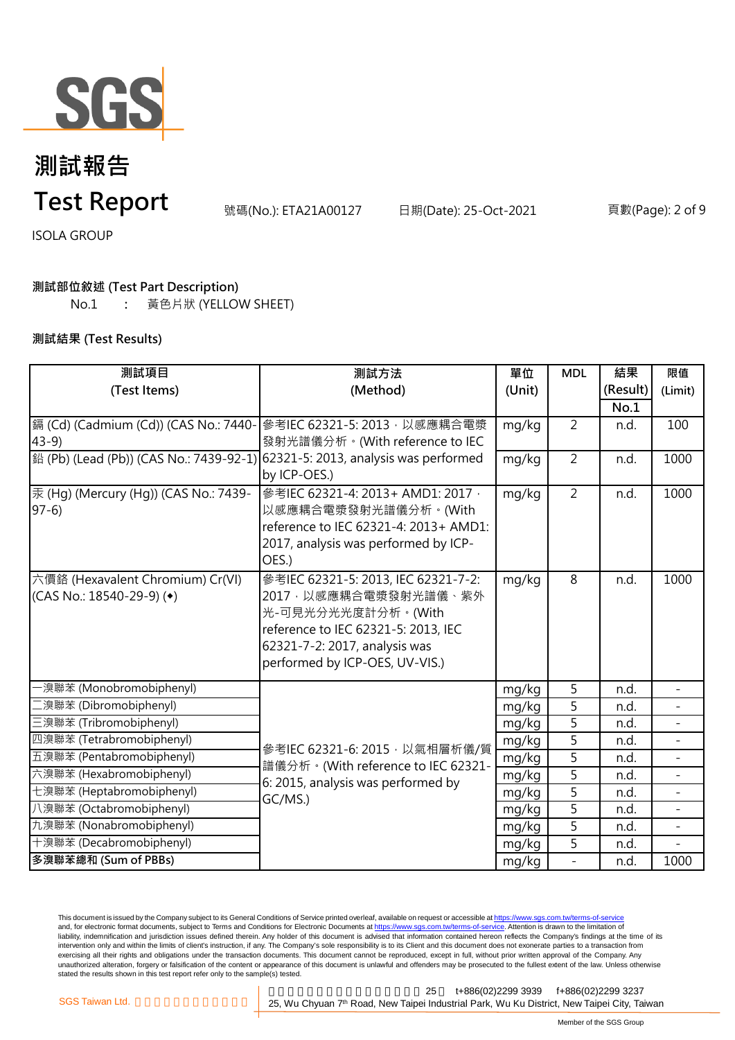

號碼(No.): ETA21A00127 日期(Date): 25-Oct-2021 頁數(Page): 2 of 9

ISOLA GROUP

#### **測試部位敘述 (Test Part Description)**

No.1 **:** 黃色片狀 (YELLOW SHEET)

#### **測試結果 (Test Results)**

| 測試項目                                    | 測試方法                                                                                                                 | 單位     | <b>MDL</b>     | 結果       | 限值                       |
|-----------------------------------------|----------------------------------------------------------------------------------------------------------------------|--------|----------------|----------|--------------------------|
| (Test Items)                            | (Method)                                                                                                             | (Unit) |                | (Result) | (Limit)                  |
|                                         |                                                                                                                      |        |                | No.1     |                          |
| i (Cd) (Cadmium (Cd)) (CAS No.: 7440-   | 參考IEC 62321-5: 2013, 以感應耦合電漿                                                                                         | mg/kg  | $\overline{2}$ | n.d.     | 100                      |
| $43-9$                                  | 發射光譜儀分析。(With reference to IEC                                                                                       |        |                |          |                          |
| 鉛 (Pb) (Lead (Pb)) (CAS No.: 7439-92-1) | 62321-5: 2013, analysis was performed                                                                                | mg/kg  | $\overline{2}$ | n.d.     | 1000                     |
|                                         | by ICP-OES.)                                                                                                         |        |                |          |                          |
| 汞 (Hg) (Mercury (Hg)) (CAS No.: 7439-   | 參考IEC 62321-4: 2013+ AMD1: 2017,                                                                                     | mg/kg  | $\overline{2}$ | n.d.     | 1000                     |
| $97-6$                                  | 以感應耦合電漿發射光譜儀分析。(With                                                                                                 |        |                |          |                          |
|                                         | reference to IEC 62321-4: 2013+ AMD1:                                                                                |        |                |          |                          |
|                                         | 2017, analysis was performed by ICP-                                                                                 |        |                |          |                          |
|                                         | OES.)                                                                                                                |        |                |          |                          |
| 六價鉻 (Hexavalent Chromium) Cr(VI)        | 參考IEC 62321-5: 2013, IEC 62321-7-2:                                                                                  | mg/kg  | 8              | n.d.     | 1000                     |
| (CAS No.: 18540-29-9) ( $\bullet$ )     | 2017, 以感應耦合電漿發射光譜儀、紫外<br>光-可見光分光光度計分析。(With                                                                          |        |                |          |                          |
|                                         | reference to IEC 62321-5: 2013, IEC                                                                                  |        |                |          |                          |
|                                         | 62321-7-2: 2017, analysis was                                                                                        |        |                |          |                          |
|                                         | performed by ICP-OES, UV-VIS.)                                                                                       |        |                |          |                          |
|                                         |                                                                                                                      |        |                |          |                          |
| ·溴聯苯 (Monobromobiphenyl)                |                                                                                                                      | mg/kg  | 5              | n.d.     |                          |
| 澳聯苯 (Dibromobiphenyl)                   |                                                                                                                      | mg/kg  | 5              | n.d.     |                          |
| 三溴聯苯 (Tribromobiphenyl)                 | 參考IEC 62321-6: 2015, 以氣相層析儀/質<br>譜儀分析。(With reference to IEC 62321-<br>6: 2015, analysis was performed by<br>GC/MS.) | mg/kg  | 5              | n.d.     |                          |
| 四溴聯苯 (Tetrabromobiphenyl)               |                                                                                                                      | mg/kg  | 5              | n.d.     |                          |
| 五溴聯苯 (Pentabromobiphenyl)               |                                                                                                                      | mg/kg  | $\overline{5}$ | n.d.     | $\overline{\phantom{a}}$ |
| 六溴聯苯 (Hexabromobiphenyl)                |                                                                                                                      | mg/kg  | 5              | n.d.     |                          |
| 七溴聯苯 (Heptabromobiphenyl)               |                                                                                                                      | mg/kg  | 5              | n.d.     | $\overline{a}$           |
| 八溴聯苯 (Octabromobiphenyl)                |                                                                                                                      | mg/kg  | $\overline{5}$ | n.d.     |                          |
| 九溴聯苯 (Nonabromobiphenyl)                |                                                                                                                      | mg/kg  | 5              | n.d.     | $\blacksquare$           |
| 十溴聯苯 (Decabromobiphenyl)                |                                                                                                                      | mg/kg  | 5              | n.d.     |                          |
| 多溴聯苯總和 (Sum of PBBs)                    |                                                                                                                      | mg/kg  | $\frac{1}{2}$  | n.d.     | 1000                     |

This document is issued by the Company subject to its General Conditions of Service printed overleaf, available on request or accessible at <u>https://www.sgs.com.tw/terms-of-service</u><br>and, for electronic format documents, su liability, indemnification and jurisdiction issues defined therein. Any holder of this document is advised that information contained hereon reflects the Company's findings at the time of its liability, indemnification and intervention only and within the limits of client's instruction, if any. The Company's sole responsibility is to its Client and this document does not exonerate parties to a transaction from exercising all their rights and obligations under the transaction documents. This document cannot be reproduced, except in full, without prior written approval of the Company. Any<br>unauthorized alteration, forgery or falsif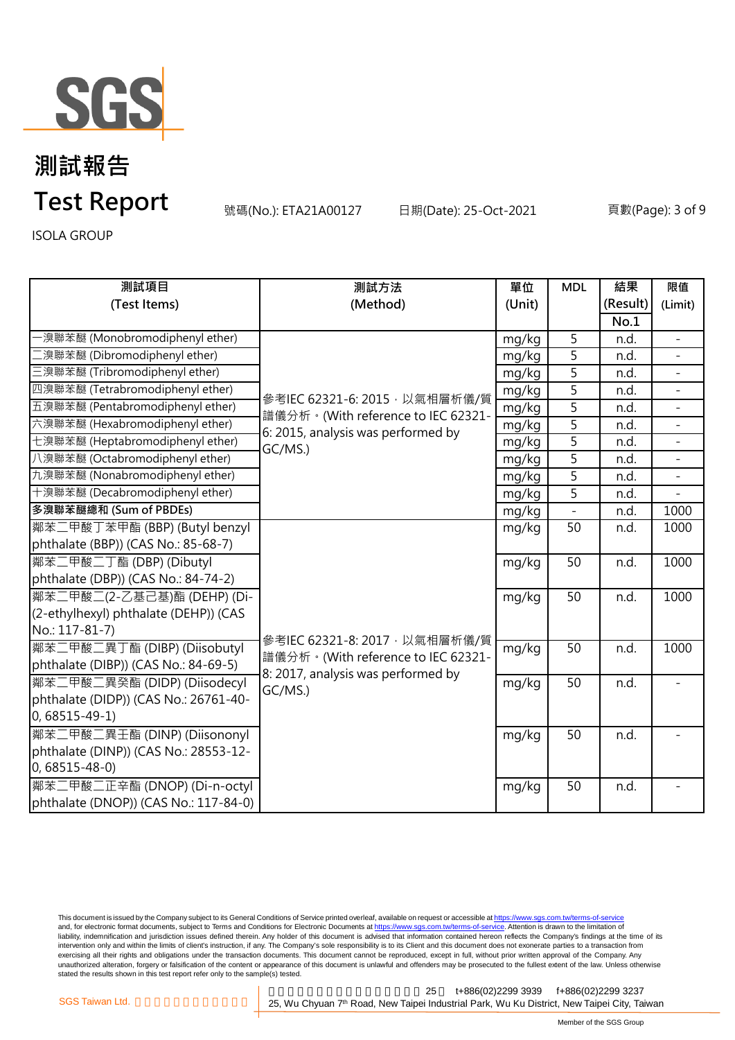

號碼(No.): ETA21A00127 日期(Date): 25-Oct-2021 頁數(Page): 3 of 9

ISOLA GROUP

| 測試項目                                  | 測試方法                                                                                                                 | 單位             | <b>MDL</b>     | 結果       | 限值                       |
|---------------------------------------|----------------------------------------------------------------------------------------------------------------------|----------------|----------------|----------|--------------------------|
| (Test Items)                          | (Method)                                                                                                             | (Unit)         |                | (Result) | (Limit)                  |
|                                       |                                                                                                                      |                |                | No.1     |                          |
| ·溴聯苯醚 (Monobromodiphenyl ether)       |                                                                                                                      | mg/kg          | 5              | n.d.     | $\overline{\phantom{a}}$ |
| [溴聯苯醚 (Dibromodiphenyl ether)         |                                                                                                                      | mg/kg          | 5              | n.d.     |                          |
| 三溴聯苯醚 (Tribromodiphenyl ether)        |                                                                                                                      | mg/kg          | 5              | n.d.     |                          |
| 四溴聯苯醚 (Tetrabromodiphenyl ether)      | 參考IEC 62321-6: 2015, 以氣相層析儀/質<br>譜儀分析。(With reference to IEC 62321-<br>6: 2015, analysis was performed by<br>GC/MS.) | mg/kg          | $\overline{5}$ | n.d.     |                          |
| 五溴聯苯醚 (Pentabromodiphenyl ether)      |                                                                                                                      | mg/kg          | 5              | n.d.     | $\equiv$                 |
| 六溴聯苯醚 (Hexabromodiphenyl ether)       |                                                                                                                      | mg/kg          | 5              | n.d.     |                          |
| 七溴聯苯醚 (Heptabromodiphenyl ether)      |                                                                                                                      | mg/kg          | $\overline{5}$ | n.d.     | $\blacksquare$           |
| 八溴聯苯醚 (Octabromodiphenyl ether)       |                                                                                                                      | mg/kg          | 5              | n.d.     |                          |
| 九溴聯苯醚 (Nonabromodiphenyl ether)       |                                                                                                                      | mg/kg          | 5              | n.d.     |                          |
| 十溴聯苯醚 (Decabromodiphenyl ether)       |                                                                                                                      | mg/kg          | $\overline{5}$ | n.d.     |                          |
| 多溴聯苯醚總和 (Sum of PBDEs)                |                                                                                                                      | mg/kg          | $\overline{a}$ | n.d.     | 1000                     |
| 鄰苯二甲酸丁苯甲酯 (BBP) (Butyl benzyl         |                                                                                                                      | mg/kg          | 50             | n.d.     | 1000                     |
| phthalate (BBP)) (CAS No.: 85-68-7)   |                                                                                                                      |                |                |          |                          |
| 鄰苯二甲酸二丁酯 (DBP) (Dibutyl               |                                                                                                                      | mg/kg          | 50             | n.d.     | 1000                     |
| phthalate (DBP)) (CAS No.: 84-74-2)   |                                                                                                                      |                |                |          |                          |
| 鄰苯二甲酸二(2-乙基己基)酯 (DEHP) (Di-           |                                                                                                                      | mg/kg          | 50             | n.d.     | 1000                     |
| (2-ethylhexyl) phthalate (DEHP)) (CAS |                                                                                                                      |                |                |          |                          |
| No.: 117-81-7)                        | 參考IEC 62321-8: 2017, 以氣相層析儀/質                                                                                        |                |                |          |                          |
| 鄰苯二甲酸二異丁酯 (DIBP) (Diisobutyl          | 譜儀分析。(With reference to IEC 62321-                                                                                   | mg/kg<br>mg/kg | 50             | n.d.     | 1000                     |
| phthalate (DIBP)) (CAS No.: 84-69-5)  | 8: 2017, analysis was performed by                                                                                   |                |                |          |                          |
| 鄰苯二甲酸二異癸酯 (DIDP) (Diisodecyl          | GC/MS.)                                                                                                              |                | 50             | n.d.     |                          |
| phthalate (DIDP)) (CAS No.: 26761-40- |                                                                                                                      |                |                |          |                          |
| $0,68515-49-1)$                       |                                                                                                                      |                |                |          |                          |
| 鄰苯二甲酸二異壬酯 (DINP) (Diisononyl          |                                                                                                                      | mg/kg          | 50             | n.d.     |                          |
| phthalate (DINP)) (CAS No.: 28553-12- |                                                                                                                      |                |                |          |                          |
| $0,68515 - 48 - 0$                    |                                                                                                                      |                |                |          |                          |
| 鄰苯二甲酸二正辛酯 (DNOP) (Di-n-octyl          |                                                                                                                      | mg/kg          | 50             | n.d.     |                          |
| phthalate (DNOP)) (CAS No.: 117-84-0) |                                                                                                                      |                |                |          |                          |

This document is issued by the Company subject to its General Conditions of Service printed overleaf, available on request or accessible at <u>https://www.sgs.com.tw/terms-of-service</u><br>and, for electronic format documents, su liability, indemnification and jurisdiction issues defined therein. Any holder of this document is advised that information contained hereon reflects the Company's findings at the time of its liability, indemnification and intervention only and within the limits of client's instruction, if any. The Company's sole responsibility is to its Client and this document does not exonerate parties to a transaction from exercising all their rights and obligations under the transaction documents. This document cannot be reproduced, except in full, without prior written approval of the Company. Any<br>unauthorized alteration, forgery or falsif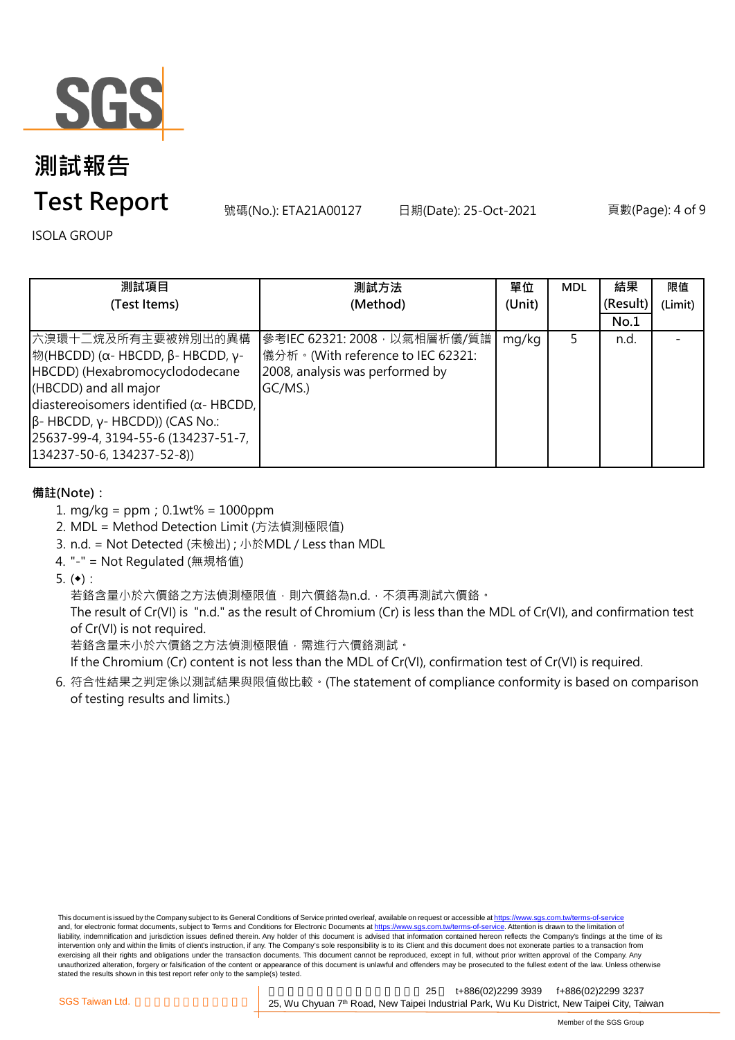

# **測試報告**

### **Test Report**

號碼(No.): ETA21A00127 日期(Date): 25-Oct-2021 頁數(Page): 4 of 9

ISOLA GROUP

| 測試項目                                                                                                                                                                                                                                                                                | 測試方法                                                                                                            | 單位     | <b>MDL</b> | 結果       | 限值      |
|-------------------------------------------------------------------------------------------------------------------------------------------------------------------------------------------------------------------------------------------------------------------------------------|-----------------------------------------------------------------------------------------------------------------|--------|------------|----------|---------|
| (Test Items)                                                                                                                                                                                                                                                                        | (Method)                                                                                                        | (Unit) |            | (Result) | (Limit) |
|                                                                                                                                                                                                                                                                                     |                                                                                                                 |        |            | No.1     |         |
| 六溴環十二烷及所有主要被辨別出的異構<br> 物(HBCDD) (α- HBCDD, β- HBCDD, γ-<br>HBCDD) (Hexabromocyclododecane<br>(HBCDD) and all major<br>diastereoisomers identified ( $\alpha$ - HBCDD,<br>$\beta$ - HBCDD, γ- HBCDD)) (CAS No.:<br>25637-99-4, 3194-55-6 (134237-51-7,<br>134237-50-6, 134237-52-8)) | 參考IEC 62321: 2008, 以氣相層析儀/質譜<br>儀分析。(With reference to IEC 62321:<br>2008, analysis was performed by<br>GC/MS.) | mg/kg  | 5          | n.d.     |         |

#### **備註(Note):**

- 1. mg/kg = ppm;0.1wt% = 1000ppm
- 2. MDL = Method Detection Limit (方法偵測極限值)
- 3. n.d. = Not Detected (未檢出) ; 小於MDL / Less than MDL
- 4. "-" = Not Regulated (無規格值)
- 5.  $(•):$

若鉻含量小於六價鉻之方法偵測極限值,則六價鉻為n.d.,不須再測試六價鉻。

The result of Cr(VI) is "n.d." as the result of Chromium (Cr) is less than the MDL of Cr(VI), and confirmation test of Cr(VI) is not required.

若鉻含量未小於六價鉻之方法偵測極限值,需進行六價鉻測試。

If the Chromium (Cr) content is not less than the MDL of Cr(VI), confirmation test of Cr(VI) is required.

6. 符合性結果之判定係以測試結果與限值做比較。(The statement of compliance conformity is based on comparison of testing results and limits.)

This document is issued by the Company subject to its General Conditions of Service printed overleaf, available on request or accessible at https://www.sgs.com.tw/terms-of-service and, for electronic format documents, subject to Terms and Conditions for Electronic Documents at https://www.sgs.com.tw/terms-of-service. Attention is drawn to the limitation of liability, indemnification and jurisdiction issues defined therein. Any holder of this document is advised that information contained hereon reflects the Company's findings at the time of its intervention only and within the limits of client's instruction, if any. The Company's sole responsibility is to its Client and this document does not exonerate parties to a transaction from exercising all their rights and obligations under the transaction documents. This document cannot be reproduced, except in full, without prior written approval of the Company. Any<br>unauthorized alteration, forgery or falsif stated the results shown in this test report refer only to the sample(s) tested.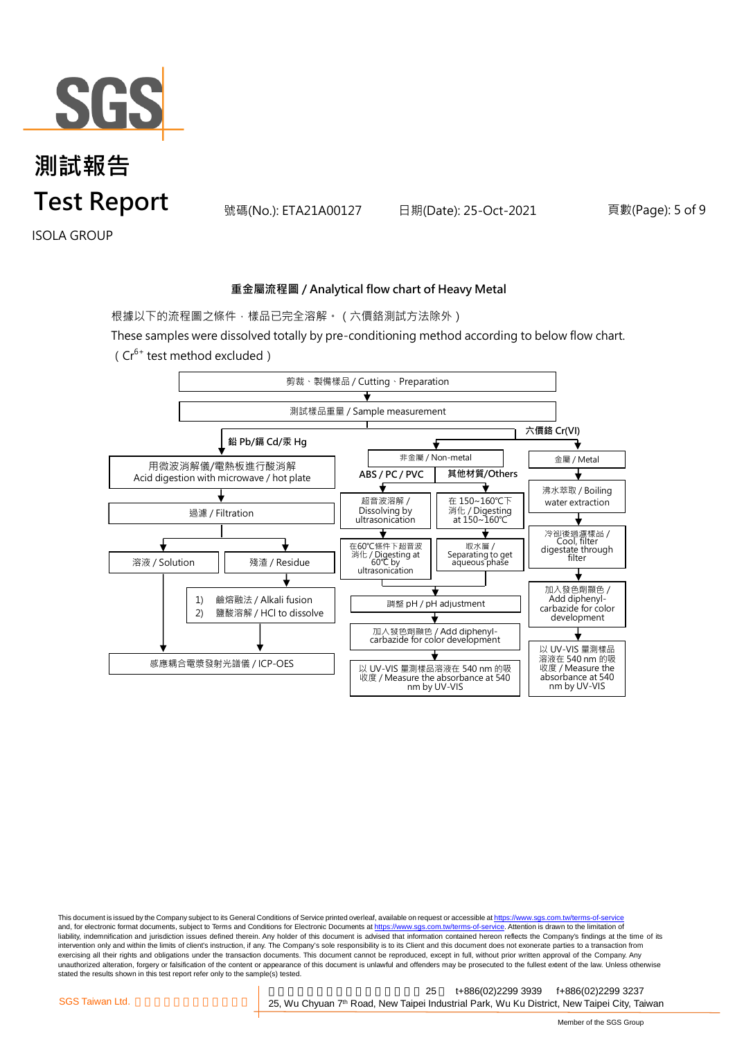

號碼(No.): ETA21A00127 日期(Date): 25-Oct-2021 頁數(Page): 5 of 9

ISOLA GROUP

#### **重金屬流程圖 / Analytical flow chart of Heavy Metal**

根據以下的流程圖之條件,樣品已完全溶解。(六價鉻測試方法除外)

These samples were dissolved totally by pre-conditioning method according to below flow chart.



This document is issued by the Company subject to its General Conditions of Service printed overleaf, available on request or accessible at https://www.sgs.com.tw/terms-of-service and, for electronic format documents, subject to Terms and Conditions for Electronic Documents at https://www.sgs.com.tw/terms-of-service. Attention is drawn to the limitation of liability, indemnification and jurisdiction issues defined therein. Any holder of this document is advised that information contained hereon reflects the Company's findings at the time of its intervention only and within the limits of client's instruction, if any. The Company's sole responsibility is to its Client and this document does not exonerate parties to a transaction from exercising all their rights and obligations under the transaction documents. This document cannot be reproduced, except in full, without prior written approval of the Company. Any<br>unauthorized alteration, forgery or falsif stated the results shown in this test report refer only to the sample(s) tested.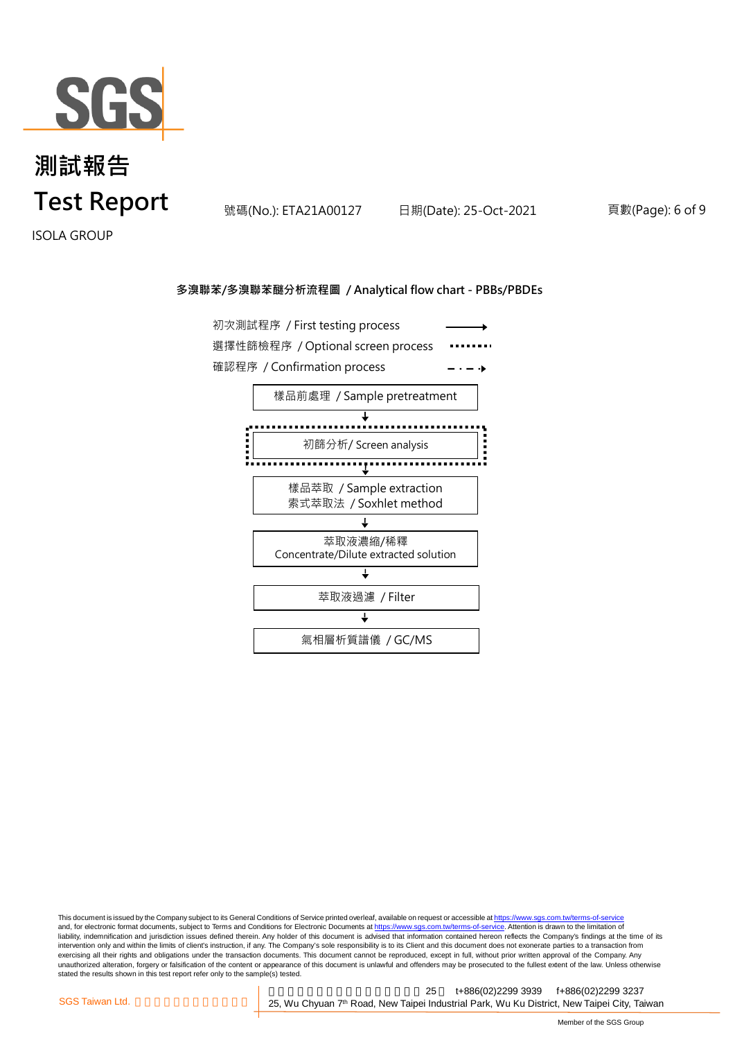

號碼(No.): ETA21A00127 日期(Date): 25-Oct-2021 頁數(Page): 6 of 9

ISOLA GROUP

#### **多溴聯苯/多溴聯苯醚分析流程圖 / Analytical flow chart - PBBs/PBDEs**



This document is issued by the Company subject to its General Conditions of Service printed overleaf, available on request or accessible at <u>https://www.sgs.com.tw/terms-of-service</u><br>and, for electronic format documents, su liability, indemnification and jurisdiction issues defined therein. Any holder of this document is advised that information contained hereon reflects the Company's findings at the time of its intervention only and within the limits of client's instruction, if any. The Company's sole responsibility is to its Client and this document does not exonerate parties to a transaction from exercising all their rights and obligations under the transaction documents. This document cannot be reproduced, except in full, without prior written approval of the Company. Any<br>unauthorized alteration, forgery or falsif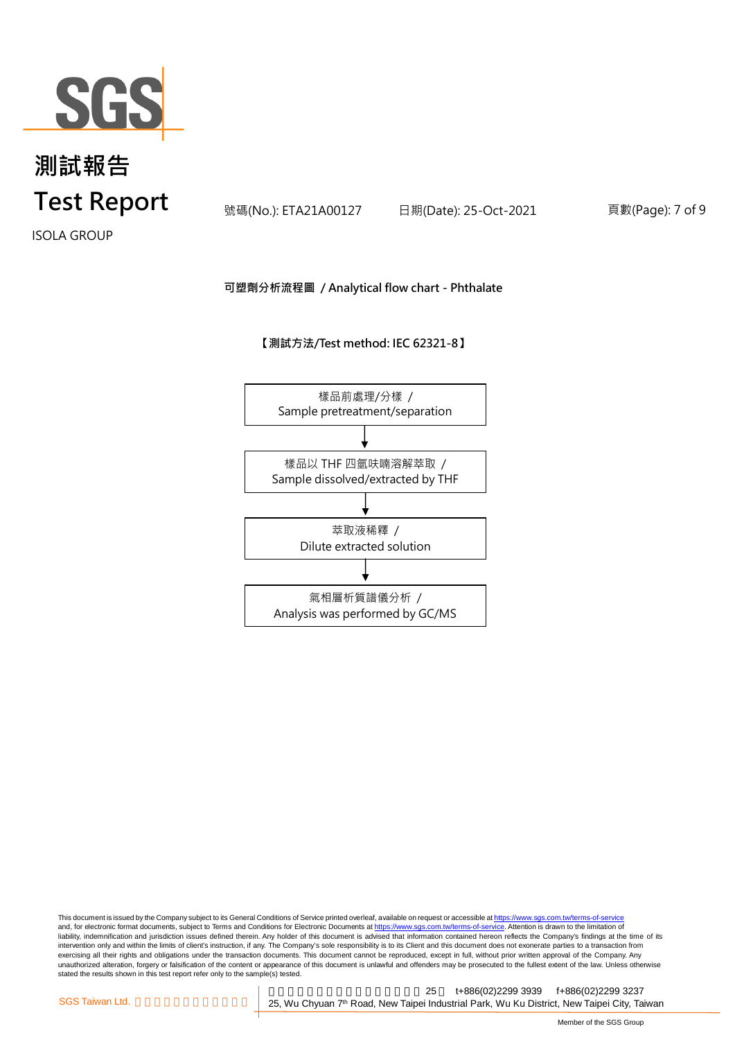

號碼(No.): ETA21A00127 日期(Date): 25-Oct-2021 頁數(Page): 7 of 9

ISOLA GROUP

#### **可塑劑分析流程圖 / Analytical flow chart - Phthalate**

**【測試方法/Test method: IEC 62321-8】**



This document is issued by the Company subject to its General Conditions of Service printed overleaf, available on request or accessible at <u>https://www.sgs.com.tw/terms-of-service</u><br>and, for electronic format documents, su liability, indemnification and jurisdiction issues defined therein. Any holder of this document is advised that information contained hereon reflects the Company's findings at the time of its intervention only and within the limits of client's instruction, if any. The Company's sole responsibility is to its Client and this document does not exonerate parties to a transaction from exercising all their rights and obligations under the transaction documents. This document cannot be reproduced, except in full, without prior written approval of the Company. Any<br>unauthorized alteration, forgery or falsif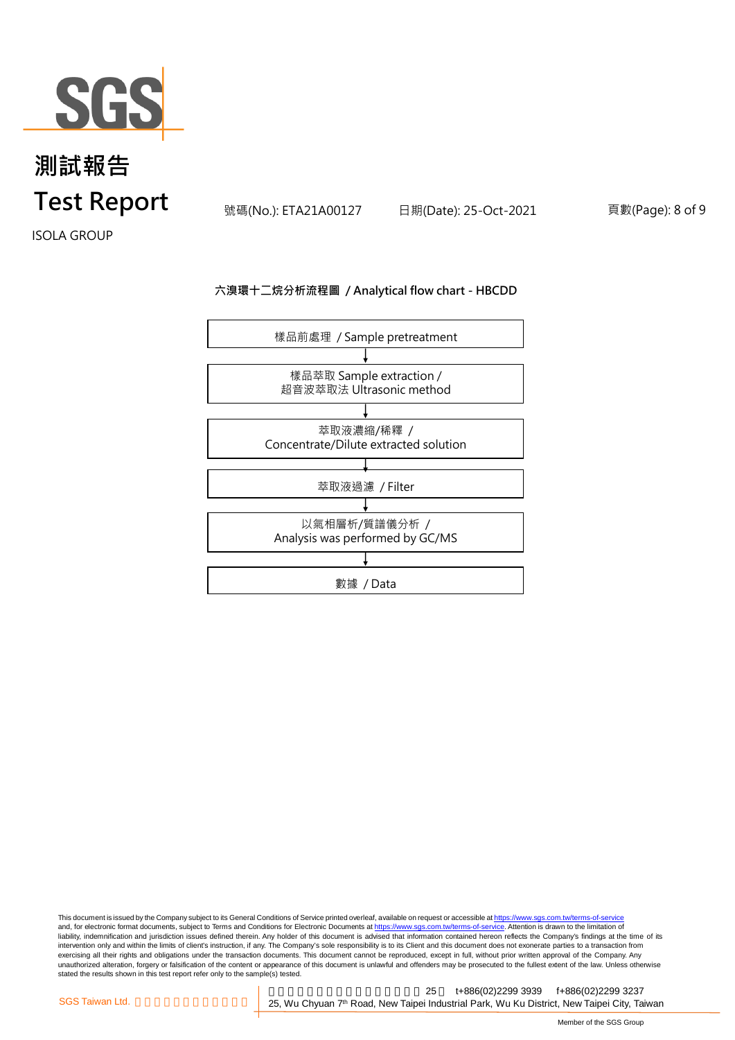

號碼(No.): ETA21A00127 日期(Date): 25-Oct-2021 頁數(Page): 8 of 9

ISOLA GROUP

#### **六溴環十二烷分析流程圖 / Analytical flow chart - HBCDD**



This document is issued by the Company subject to its General Conditions of Service printed overleaf, available on request or accessible at <u>https://www.sgs.com.tw/terms-of-service</u><br>and, for electronic format documents, su liability, indemnification and jurisdiction issues defined therein. Any holder of this document is advised that information contained hereon reflects the Company's findings at the time of its liability, indemnification and intervention only and within the limits of client's instruction, if any. The Company's sole responsibility is to its Client and this document does not exonerate parties to a transaction from exercising all their rights and obligations under the transaction documents. This document cannot be reproduced, except in full, without prior written approval of the Company. Any<br>unauthorized alteration, forgery or falsif